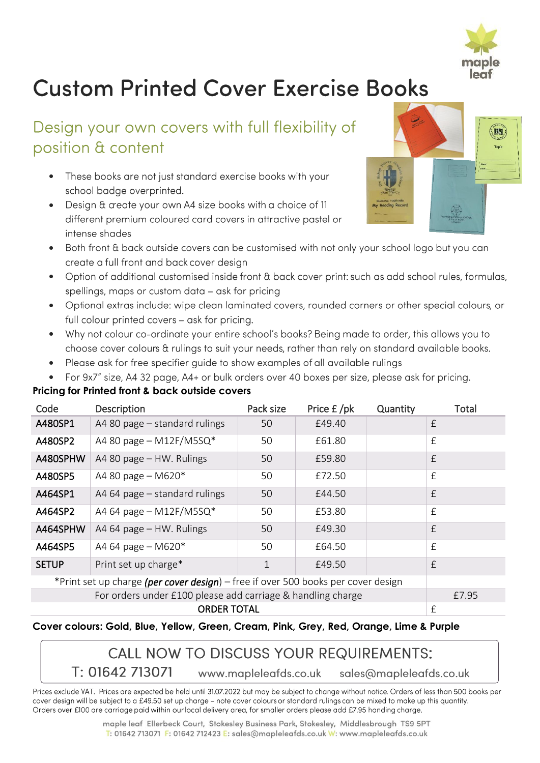

# **Custom Printed Cover Exercise Books**

## Design your own covers with full flexibility of position & content

- These books are not just standard exercise books with your school badge overprinted.
- Design & create your own A4 size books with a choice of 11 different premium coloured card covers in attractive pastel or intense shades
- Both front & back outside covers can be customised with not only your school logo but you can create a full front and back cover design
- Option of additional customised inside front & back cover print: such as add school rules, formulas, • spellings, maps or custom data - ask for pricing
- Optional extras include: wipe clean laminated covers, rounded corners or other special colours, or full colour printed covers - ask for pricing.
- Why not colour co-ordinate your entire school's books? Being made to order, this allows you to • choose cover colours & rulings to suit your needs, rather than rely on standard available books.
- Please ask for free specifier guide to show examples of all available rulings •
- For 9x7" size, A4 32 page, A4+ or bulk orders over 40 boxes per size, please ask for pricing.

## **Pricing for Printed front & back outside covers**

| Code                                                                              | Description                   | Pack size | Price £/pk | Quantity | Total     |
|-----------------------------------------------------------------------------------|-------------------------------|-----------|------------|----------|-----------|
| A480SP1                                                                           | A4 80 page – standard rulings | 50        | £49.40     |          | $\pounds$ |
| A480SP2                                                                           | A4 80 page $-$ M12F/M5SQ*     | 50        | £61.80     |          | £         |
| A480SPHW                                                                          | A4 80 page - HW. Rulings      | 50        | £59.80     |          | £         |
| A480SP5                                                                           | A4 80 page $-$ M620 $*$       | 50        | £72.50     |          | £         |
| A464SP1                                                                           | A4 64 page - standard rulings | 50        | £44.50     |          | £         |
| A464SP2                                                                           | A4 64 page – M12F/M5SQ*       | 50        | £53.80     |          | £         |
| A464SPHW                                                                          | A4 64 page - HW. Rulings      | 50        | £49.30     |          | £         |
| A464SP5                                                                           | A4 64 page - M620*            | 50        | £64.50     |          | £         |
| <b>SETUP</b>                                                                      | Print set up charge*          | 1         | £49.50     |          | f         |
| *Print set up charge (per cover design) – free if over 500 books per cover design |                               |           |            |          |           |
|                                                                                   | £7.95                         |           |            |          |           |
|                                                                                   | £                             |           |            |          |           |

### **Cover colours: Gold, Blue, Yellow, Green, Cream, Pink, Grey, Red, Orange, Lime & Purple**

## **CALL NOW TO DISCUSS YOUR REQUIREMENTS:**

T: 01642 713071 www.mapleleafds.co.uk sales@mapleleafds.co.uk

Prices exclude VAT. Prices are expected be held until 31.07.2022 but may be subject to change without notice. Orders of less than 500 books per cover design will be subject to a £49.50 set up charge - note cover colours or standard rulings can be mixed to make up this quantity. Orders over £100 are carriage paid within our local delivery area, for smaller orders please add £7.95 handing charge.

> maple leaf Ellerbeck Court, Stokesley Business Park, Stokesley, Middlesbrough TS9 5PT T: 01642 713071 F: 01642 712423 E: sales@mapleleafds.co.uk W: www.mapleleafds.co.uk